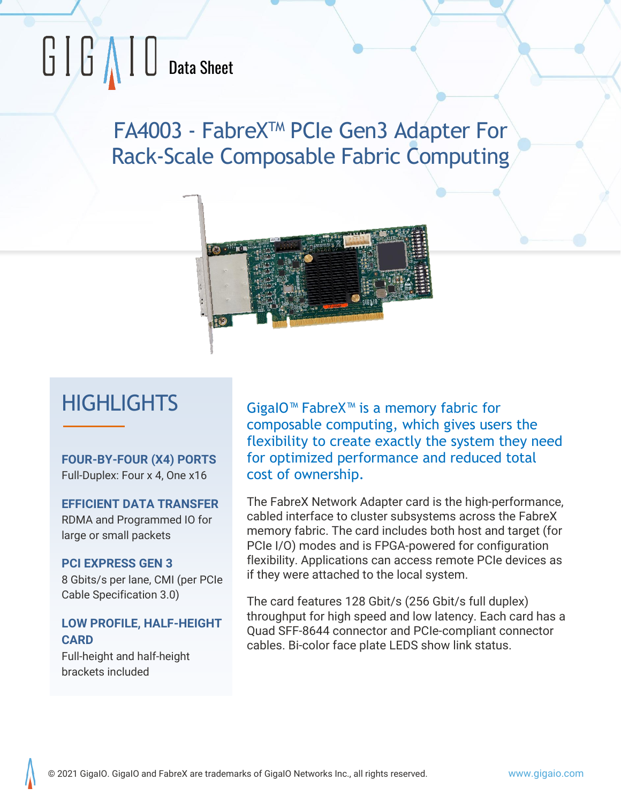# $\begin{array}{|c|c|c|}\hline \begin{array}{|c|c|}\hline \begin{array}{|c|c|}\hline \begin{array}{|c|c|}\hline \begin{array}{|c|c|}\hline \begin{array}{|c|c|}\hline \begin{array}{|c|c|}\hline \begin{array}{|c|c|}\hline \begin{array}{|c|c|}\hline \begin{array}{|c|c|}\hline \begin{array}{|c|c|}\hline \begin{array}{|c|c|}\hline \begin{array}{|c|c|}\hline \begin{array}{|c|c|}\hline \begin{array}{|c|c|}\hline \begin{array}{|c|c|}\hline \begin{array}{|c|c|$

FA4003 - FabreXTM PCIe Gen3 Adapter For Rack-Scale Composable Fabric Computing



# **HIGHLIGHTS**

**FOUR-BY-FOUR (X4) PORTS** Full-Duplex: Four x 4, One x16

**EFFICIENT DATA TRANSFER** RDMA and Programmed IO for large or small packets

#### **PCI EXPRESS GEN 3**

8 Gbits/s per lane, CMI (per PCIe Cable Specification 3.0)

#### **LOW PROFILE, HALF-HEIGHT CARD**

Full-height and half-height brackets included

GigaIO™ FabreX™ is a memory fabric for composable computing, which gives users the flexibility to create exactly the system they need for optimized performance and reduced total cost of ownership.

The FabreX Network Adapter card is the high-performance, cabled interface to cluster subsystems across the FabreX memory fabric. The card includes both host and target (for PCIe I/O) modes and is FPGA-powered for configuration flexibility. Applications can access remote PCIe devices as if they were attached to the local system.

The card features 128 Gbit/s (256 Gbit/s full duplex) throughput for high speed and low latency. Each card has a Quad SFF-8644 connector and PCIe-compliant connector cables. Bi-color face plate LEDS show link status.